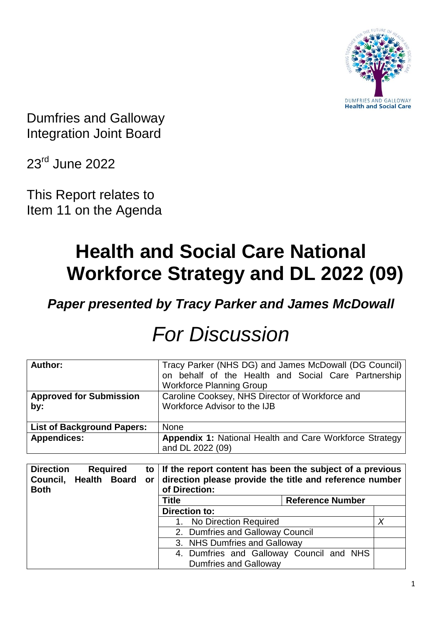

Dumfries and Galloway Integration Joint Board

23rd June 2022

This Report relates to Item 11 on the Agenda

# **Health and Social Care National Workforce Strategy and DL 2022 (09)**

*Paper presented by Tracy Parker and James McDowall*

| Author:                                   | Tracy Parker (NHS DG) and James McDowall (DG Council)          |   |  |
|-------------------------------------------|----------------------------------------------------------------|---|--|
|                                           | on behalf of the Health and Social Care Partnership            |   |  |
|                                           | <b>Workforce Planning Group</b>                                |   |  |
| <b>Approved for Submission</b>            | Caroline Cooksey, NHS Director of Workforce and                |   |  |
| by:                                       | Workforce Advisor to the IJB                                   |   |  |
|                                           |                                                                |   |  |
| <b>List of Background Papers:</b>         | <b>None</b>                                                    |   |  |
| <b>Appendices:</b>                        | <b>Appendix 1: National Health and Care Workforce Strategy</b> |   |  |
|                                           | and DL 2022 (09)                                               |   |  |
|                                           |                                                                |   |  |
|                                           |                                                                |   |  |
| <b>Direction</b><br><b>Required</b><br>to | If the report content has been the subject of a previous       |   |  |
| Council, Health Board<br>or               | direction please provide the title and reference number        |   |  |
| <b>Both</b>                               | of Direction:                                                  |   |  |
|                                           | Title<br><b>Reference Number</b>                               |   |  |
|                                           | <b>Direction to:</b>                                           |   |  |
|                                           | No Direction Required<br>1.                                    | X |  |
|                                           | 2. Dumfries and Galloway Council                               |   |  |
|                                           | 3. NHS Dumfries and Galloway                                   |   |  |
|                                           | 4. Dumfries and Galloway Council and NHS                       |   |  |

# *For Discussion*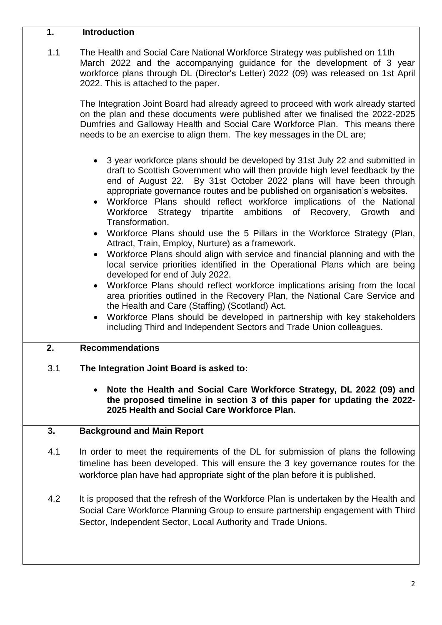#### **1. Introduction**

1.1 [The Health and Social Care National Workforce Strategy](https://www.gov.scot/publications/national-workforce-strategy-health-social-care/%23:~:text=Sets%20out%20our%20vision%20for,achieve%20our%20vision%20and%20ambition.) was published on 11th March 2022 and the accompanying guidance for the development of 3 year workforce plans through DL (Director's Letter) 2022 (09) was released on 1st April 2022. This is attached to the paper.

The Integration Joint Board had already agreed to proceed with work already started on the plan and these documents were published after we finalised the 2022-2025 Dumfries and Galloway Health and Social Care Workforce Plan. This means there needs to be an exercise to align them. The key messages in the DL are;

- 3 year workforce plans should be developed by 31st July 22 and submitted in draft to Scottish Government who will then provide high level feedback by the end of August 22. By 31st October 2022 plans will have been through appropriate governance routes and be published on organisation's websites.
- Workforce Plans should reflect workforce implications of the National Workforce Strategy tripartite ambitions of Recovery, Growth and Transformation.
- Workforce Plans should use the 5 Pillars in the Workforce Strategy (Plan, Attract, Train, Employ, Nurture) as a framework.
- Workforce Plans should align with service and financial planning and with the local service priorities identified in the Operational Plans which are being developed for end of July 2022.
- Workforce Plans should reflect workforce implications arising from the local area priorities outlined in the Recovery Plan, the National Care Service and the Health and Care (Staffing) (Scotland) Act.
- Workforce Plans should be developed in partnership with key stakeholders including Third and Independent Sectors and Trade Union colleagues.

#### **2. Recommendations**

#### 3.1 **The Integration Joint Board is asked to:**

 **Note the Health and Social Care Workforce Strategy, DL 2022 (09) and the proposed timeline in section 3 of this paper for updating the 2022- 2025 Health and Social Care Workforce Plan.**

#### **3. Background and Main Report**

- 4.1 In order to meet the requirements of the DL for submission of plans the following timeline has been developed. This will ensure the 3 key governance routes for the workforce plan have had appropriate sight of the plan before it is published.
- 4.2 It is proposed that the refresh of the Workforce Plan is undertaken by the Health and Social Care Workforce Planning Group to ensure partnership engagement with Third Sector, Independent Sector, Local Authority and Trade Unions.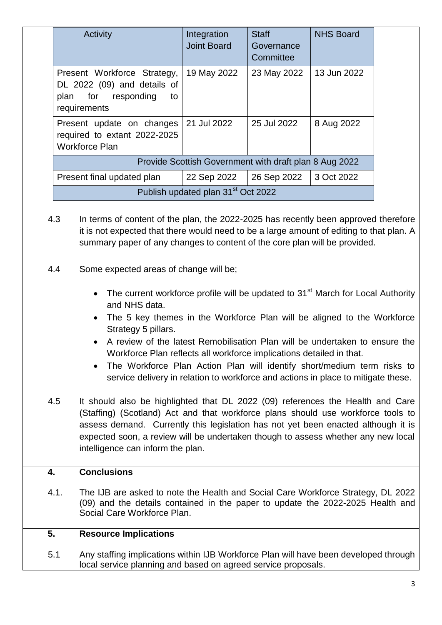| <b>Activity</b>                                                                                         | Integration<br><b>Joint Board</b>                      | <b>Staff</b><br>Governance<br>Committee | <b>NHS Board</b> |  |
|---------------------------------------------------------------------------------------------------------|--------------------------------------------------------|-----------------------------------------|------------------|--|
| Present Workforce Strategy,<br>DL 2022 (09) and details of<br>plan for responding<br>to<br>requirements | 19 May 2022                                            | 23 May 2022                             | 13 Jun 2022      |  |
| Present update on changes<br>required to extant 2022-2025<br><b>Workforce Plan</b>                      | 21 Jul 2022                                            | 25 Jul 2022                             | 8 Aug 2022       |  |
|                                                                                                         | Provide Scottish Government with draft plan 8 Aug 2022 |                                         |                  |  |
| Present final updated plan                                                                              | 22 Sep 2022                                            | 26 Sep 2022                             | 3 Oct 2022       |  |
| Publish updated plan 31 <sup>st</sup> Oct 2022                                                          |                                                        |                                         |                  |  |

- 4.3 In terms of content of the plan, the 2022-2025 has recently been approved therefore it is not expected that there would need to be a large amount of editing to that plan. A summary paper of any changes to content of the core plan will be provided.
- 4.4 Some expected areas of change will be;
	- The current workforce profile will be updated to  $31<sup>st</sup>$  March for Local Authority and NHS data.
	- The 5 key themes in the Workforce Plan will be aligned to the Workforce Strategy 5 pillars.
	- A review of the latest Remobilisation Plan will be undertaken to ensure the Workforce Plan reflects all workforce implications detailed in that.
	- The Workforce Plan Action Plan will identify short/medium term risks to service delivery in relation to workforce and actions in place to mitigate these.
- 4.5 It should also be highlighted that DL 2022 (09) references the Health and Care (Staffing) (Scotland) Act and that workforce plans should use workforce tools to assess demand. Currently this legislation has not yet been enacted although it is expected soon, a review will be undertaken though to assess whether any new local intelligence can inform the plan.

#### **4. Conclusions**

4.1. The IJB are asked to note the Health and Social Care Workforce Strategy, DL 2022 (09) and the details contained in the paper to update the 2022-2025 Health and Social Care Workforce Plan.

#### **5. Resource Implications**

5.1 Any staffing implications within IJB Workforce Plan will have been developed through local service planning and based on agreed service proposals.